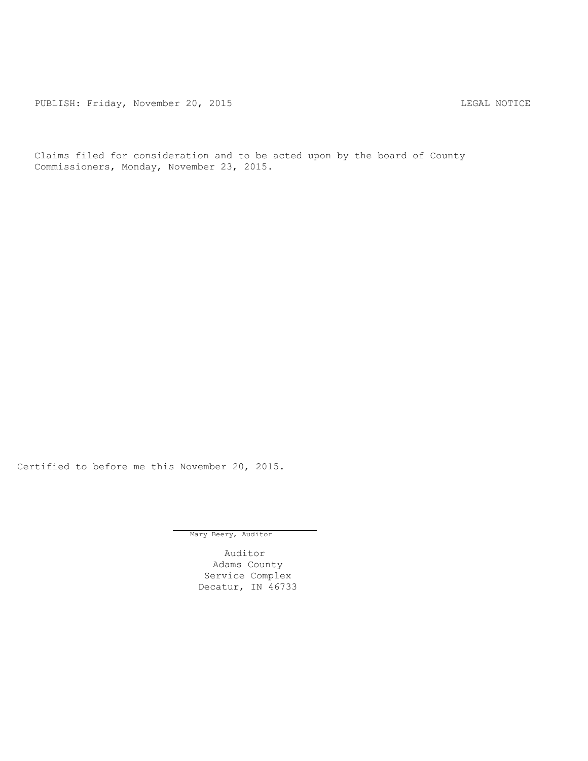PUBLISH: Friday, November 20, 2015 CHA CHANGE CONSTRUCTED AND THE LEGAL NOTICE

Claims filed for consideration and to be acted upon by the board of County Commissioners, Monday, November 23, 2015.

Certified to before me this November 20, 2015.

Mary Beery, Auditor

Auditor Adams County Service Complex Decatur, IN 46733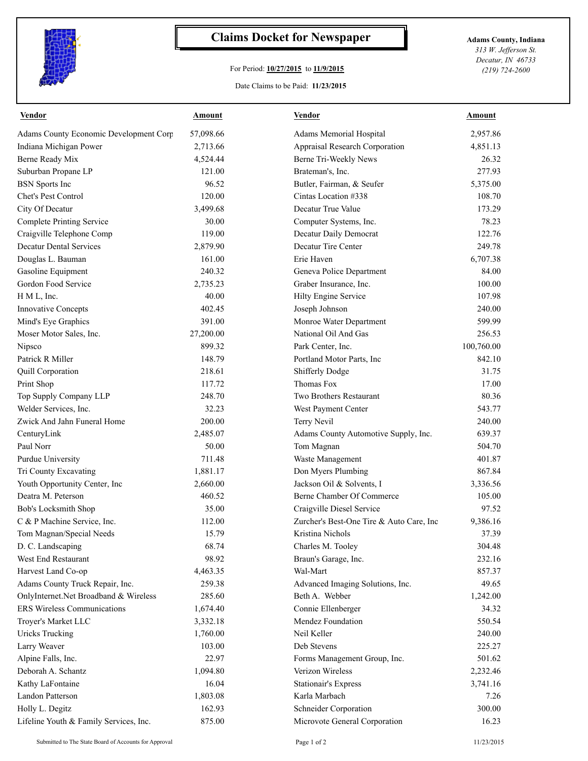

## **Claims Docket for Newspaper Adams County, Indiana**

## For Period: **10/27/2015** to **11/9/2015**

*313 W. Jefferson St. Decatur, IN 46733 (219) 724-2600*

## Date Claims to be Paid: **11/23/2015**

| <b>Vendor</b>                          | Amount    | <b>Vendor</b>                            | Amount     |
|----------------------------------------|-----------|------------------------------------------|------------|
| Adams County Economic Development Corp | 57,098.66 | Adams Memorial Hospital                  | 2,957.86   |
| Indiana Michigan Power                 | 2,713.66  | Appraisal Research Corporation           | 4,851.13   |
| Berne Ready Mix                        | 4,524.44  | Berne Tri-Weekly News                    | 26.32      |
| Suburban Propane LP                    | 121.00    | Brateman's, Inc.                         | 277.93     |
| <b>BSN</b> Sports Inc                  | 96.52     | Butler, Fairman, & Seufer                | 5,375.00   |
| Chet's Pest Control                    | 120.00    | Cintas Location #338                     | 108.70     |
| City Of Decatur                        | 3,499.68  | Decatur True Value                       | 173.29     |
| <b>Complete Printing Service</b>       | 30.00     | Computer Systems, Inc.                   | 78.23      |
| Craigville Telephone Comp              | 119.00    | Decatur Daily Democrat                   | 122.76     |
| <b>Decatur Dental Services</b>         | 2,879.90  | Decatur Tire Center                      | 249.78     |
| Douglas L. Bauman                      | 161.00    | Erie Haven                               | 6,707.38   |
| Gasoline Equipment                     | 240.32    | Geneva Police Department                 | 84.00      |
| Gordon Food Service                    | 2,735.23  | Graber Insurance, Inc.                   | 100.00     |
| H M L, Inc.                            | 40.00     | Hilty Engine Service                     | 107.98     |
| <b>Innovative Concepts</b>             | 402.45    | Joseph Johnson                           | 240.00     |
| Mind's Eye Graphics                    | 391.00    | Monroe Water Department                  | 599.99     |
| Moser Motor Sales, Inc.                | 27,200.00 | National Oil And Gas                     | 256.53     |
| Nipsco                                 | 899.32    | Park Center, Inc.                        | 100,760.00 |
| Patrick R Miller                       | 148.79    | Portland Motor Parts, Inc                | 842.10     |
| Quill Corporation                      | 218.61    | Shifferly Dodge                          | 31.75      |
| Print Shop                             | 117.72    | Thomas Fox                               | 17.00      |
| Top Supply Company LLP                 | 248.70    | Two Brothers Restaurant                  | 80.36      |
| Welder Services, Inc.                  | 32.23     | West Payment Center                      | 543.77     |
| Zwick And Jahn Funeral Home            | 200.00    | Terry Nevil                              | 240.00     |
| CenturyLink                            | 2,485.07  | Adams County Automotive Supply, Inc.     | 639.37     |
| Paul Norr                              | 50.00     | Tom Magnan                               | 504.70     |
| Purdue University                      | 711.48    | Waste Management                         | 401.87     |
| Tri County Excavating                  | 1,881.17  | Don Myers Plumbing                       | 867.84     |
| Youth Opportunity Center, Inc          | 2,660.00  | Jackson Oil & Solvents, I                | 3,336.56   |
| Deatra M. Peterson                     | 460.52    | Berne Chamber Of Commerce                | 105.00     |
| Bob's Locksmith Shop                   | 35.00     | Craigville Diesel Service                | 97.52      |
| C & P Machine Service, Inc.            | 112.00    | Zurcher's Best-One Tire & Auto Care, Inc | 9,386.16   |
| Tom Magnan/Special Needs               | 15.79     | Kristina Nichols                         | 37.39      |
| D. C. Landscaping                      | 68.74     | Charles M. Tooley                        | 304.48     |
| West End Restaurant                    | 98.92     | Braun's Garage, Inc.                     | 232.16     |
| Harvest Land Co-op                     | 4,463.35  | Wal-Mart                                 | 857.37     |
| Adams County Truck Repair, Inc.        | 259.38    | Advanced Imaging Solutions, Inc.         | 49.65      |
| OnlyInternet.Net Broadband & Wireless  | 285.60    | Beth A. Webber                           | 1,242.00   |
| ERS Wireless Communications            | 1,674.40  | Connie Ellenberger                       | 34.32      |
|                                        |           | Mendez Foundation                        |            |
| Troyer's Market LLC                    | 3,332.18  |                                          | 550.54     |
| <b>Uricks Trucking</b>                 | 1,760.00  | Neil Keller                              | 240.00     |
| Larry Weaver                           | 103.00    | Deb Stevens                              | 225.27     |
| Alpine Falls, Inc.                     | 22.97     | Forms Management Group, Inc.             | 501.62     |
| Deborah A. Schantz                     | 1,094.80  | Verizon Wireless                         | 2,232.46   |
| Kathy LaFontaine                       | 16.04     | <b>Stationair's Express</b>              | 3,741.16   |
| Landon Patterson                       | 1,803.08  | Karla Marbach                            | 7.26       |
| Holly L. Degitz                        | 162.93    | Schneider Corporation                    | 300.00     |
| Lifeline Youth & Family Services, Inc. | 875.00    | Microvote General Corporation            | 16.23      |